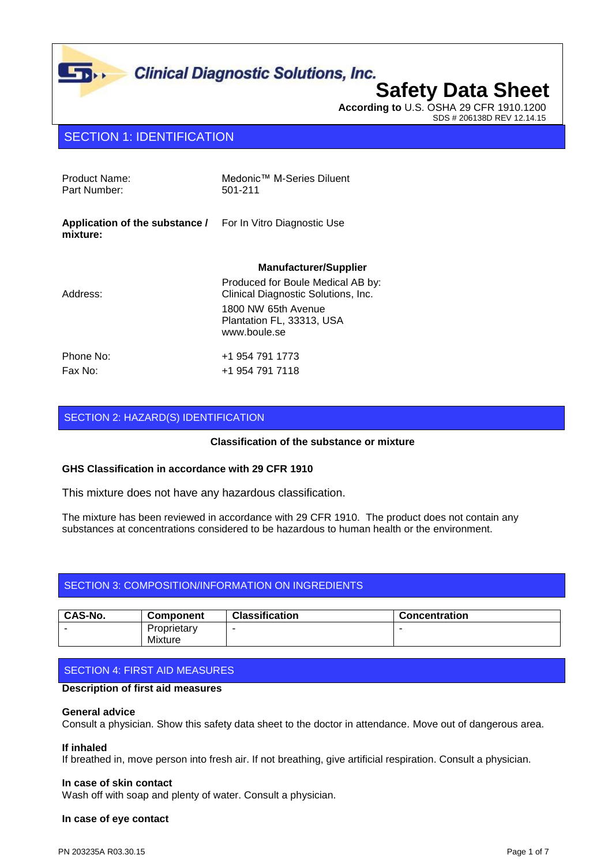

# **Safety Data Sheet**

**According to** U.S. OSHA 29 CFR 1910.1200 SDS # 206138D REV 12.14.15

# SECTION 1: IDENTIFICATION

 $\mathbf{L}$ 

| Product Name:<br>Part Number:                                                 | Medonic™ M-Series Diluent<br>501-211                                                                                                         |
|-------------------------------------------------------------------------------|----------------------------------------------------------------------------------------------------------------------------------------------|
| <b>Application of the substance / For In Vitro Diagnostic Use</b><br>mixture: |                                                                                                                                              |
|                                                                               | <b>Manufacturer/Supplier</b>                                                                                                                 |
| Address:                                                                      | Produced for Boule Medical AB by:<br>Clinical Diagnostic Solutions, Inc.<br>1800 NW 65th Avenue<br>Plantation FL, 33313, USA<br>www.boule.se |
| Phone No:<br>Fax No:                                                          | +1 954 791 1773<br>+1 954 791 7118                                                                                                           |

## SECTION 2: HAZARD(S) IDENTIFICATION

### **Classification of the substance or mixture**

### **GHS Classification in accordance with 29 CFR 1910**

This mixture does not have any hazardous classification.

The mixture has been reviewed in accordance with 29 CFR 1910. The product does not contain any substances at concentrations considered to be hazardous to human health or the environment.

### SECTION 3: COMPOSITION/INFORMATION ON INGREDIENTS

| <b>CAS-No.</b> | <b>Component</b>       | <b>Classification</b> | <b>Concentration</b> |
|----------------|------------------------|-----------------------|----------------------|
|                | Proprietary<br>Mixture |                       |                      |

### SECTION 4: FIRST AID MEASURES

### **Description of first aid measures**

### **General advice**

Consult a physician. Show this safety data sheet to the doctor in attendance. Move out of dangerous area.

### **If inhaled**

If breathed in, move person into fresh air. If not breathing, give artificial respiration. Consult a physician.

### **In case of skin contact**

Wash off with soap and plenty of water. Consult a physician.

### **In case of eye contact**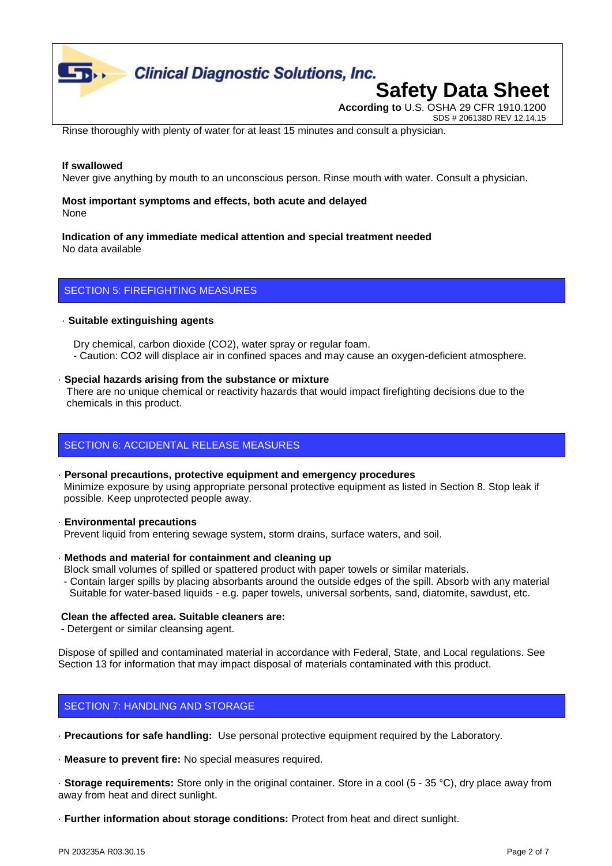

SDS # 206138D REV 12.14.15

Rinse thoroughly with plenty of water for at least 15 minutes and consult a physician.

### **If swallowed**

Never give anything by mouth to an unconscious person. Rinse mouth with water. Consult a physician.

### **Most important symptoms and effects, both acute and delayed** None

### **Indication of any immediate medical attention and special treatment needed** No data available

### SECTION 5: FIREFIGHTING MEASURES

### · **Suitable extinguishing agents**

 Dry chemical, carbon dioxide (CO2), water spray or regular foam. - Caution: CO2 will displace air in confined spaces and may cause an oxygen-deficient atmosphere.

### · **Special hazards arising from the substance or mixture**

 There are no unique chemical or reactivity hazards that would impact firefighting decisions due to the chemicals in this product.

## SECTION 6: ACCIDENTAL RELEASE MEASURES

- · **Personal precautions, protective equipment and emergency procedures** Minimize exposure by using appropriate personal protective equipment as listed in Section 8. Stop leak if possible. Keep unprotected people away.
- · **Environmental precautions**
- Prevent liquid from entering sewage system, storm drains, surface waters, and soil.
- · **Methods and material for containment and cleaning up** Block small volumes of spilled or spattered product with paper towels or similar materials.
- Contain larger spills by placing absorbants around the outside edges of the spill. Absorb with any material Suitable for water-based liquids - e.g. paper towels, universal sorbents, sand, diatomite, sawdust, etc.

### **Clean the affected area. Suitable cleaners are:**

- Detergent or similar cleansing agent.

Dispose of spilled and contaminated material in accordance with Federal, State, and Local regulations. See Section 13 for information that may impact disposal of materials contaminated with this product.

### SECTION 7: HANDLING AND STORAGE

· **Precautions for safe handling:** Use personal protective equipment required by the Laboratory.

· **Measure to prevent fire:** No special measures required.

· **Storage requirements:** Store only in the original container. Store in a cool (5 - 35 °C), dry place away from away from heat and direct sunlight.

· **Further information about storage conditions:** Protect from heat and direct sunlight.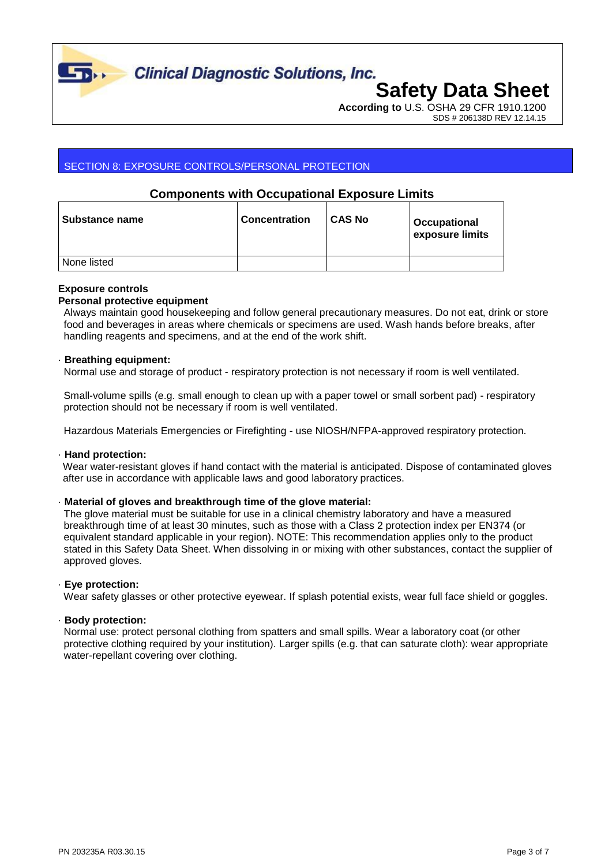

**Clinical Diagnostic Solutions, Inc.** 

# **Safety Data Sheet According to** U.S. OSHA 29 CFR 1910.1200

SDS # 206138D REV 12.14.15

# SECTION 8: EXPOSURE CONTROLS/PERSONAL PROTECTION

# **Components with Occupational Exposure Limits**

| <b>Substance name</b> | <b>Concentration</b> | <b>CAS No</b> | Occupational<br>exposure limits |
|-----------------------|----------------------|---------------|---------------------------------|
| None listed           |                      |               |                                 |

### **Exposure controls**

### **Personal protective equipment**

 Always maintain good housekeeping and follow general precautionary measures. Do not eat, drink or store food and beverages in areas where chemicals or specimens are used. Wash hands before breaks, after handling reagents and specimens, and at the end of the work shift.

### · **Breathing equipment:**

Normal use and storage of product - respiratory protection is not necessary if room is well ventilated.

 Small-volume spills (e.g. small enough to clean up with a paper towel or small sorbent pad) - respiratory protection should not be necessary if room is well ventilated.

Hazardous Materials Emergencies or Firefighting - use NIOSH/NFPA-approved respiratory protection.

### · **Hand protection:**

Wear water-resistant gloves if hand contact with the material is anticipated. Dispose of contaminated gloves after use in accordance with applicable laws and good laboratory practices.

### · **Material of gloves and breakthrough time of the glove material:**

 The glove material must be suitable for use in a clinical chemistry laboratory and have a measured breakthrough time of at least 30 minutes, such as those with a Class 2 protection index per EN374 (or equivalent standard applicable in your region). NOTE: This recommendation applies only to the product stated in this Safety Data Sheet. When dissolving in or mixing with other substances, contact the supplier of approved gloves.

### · **Eye protection:**

Wear safety glasses or other protective eyewear. If splash potential exists, wear full face shield or goggles.

### · **Body protection:**

 Normal use: protect personal clothing from spatters and small spills. Wear a laboratory coat (or other protective clothing required by your institution). Larger spills (e.g. that can saturate cloth): wear appropriate water-repellant covering over clothing.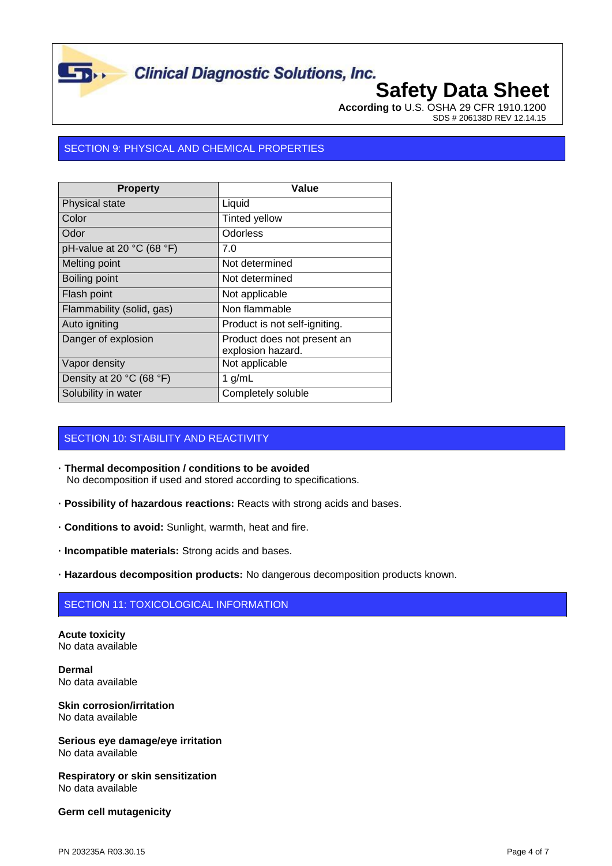

# **Clinical Diagnostic Solutions, Inc.**

# **Safety Data Sheet**

**According to** U.S. OSHA 29 CFR 1910.1200 SDS # 206138D REV 12.14.15

# SECTION 9: PHYSICAL AND CHEMICAL PROPERTIES

| <b>Property</b>                | Value                                            |
|--------------------------------|--------------------------------------------------|
| Physical state                 | Liquid                                           |
| Color                          | <b>Tinted yellow</b>                             |
| Odor                           | Odorless                                         |
| pH-value at 20 $°C$ (68 $°F$ ) | 7.0                                              |
| Melting point                  | Not determined                                   |
| Boiling point                  | Not determined                                   |
| Flash point                    | Not applicable                                   |
| Flammability (solid, gas)      | Non flammable                                    |
| Auto igniting                  | Product is not self-igniting.                    |
| Danger of explosion            | Product does not present an<br>explosion hazard. |
| Vapor density                  | Not applicable                                   |
| Density at 20 °C (68 °F)       | 1 $g/mL$                                         |
| Solubility in water            | Completely soluble                               |

## SECTION 10: STABILITY AND REACTIVITY

- **· Thermal decomposition / conditions to be avoided** No decomposition if used and stored according to specifications.
- **· Possibility of hazardous reactions:** Reacts with strong acids and bases.
- **· Conditions to avoid:** Sunlight, warmth, heat and fire.
- **· Incompatible materials:** Strong acids and bases.
- **· Hazardous decomposition products:** No dangerous decomposition products known.

# SECTION 11: TOXICOLOGICAL INFORMATION

**Acute toxicity** No data available

**Dermal** No data available

### **Skin corrosion/irritation** No data available

**Serious eye damage/eye irritation** No data available

**Respiratory or skin sensitization** No data available

### **Germ cell mutagenicity**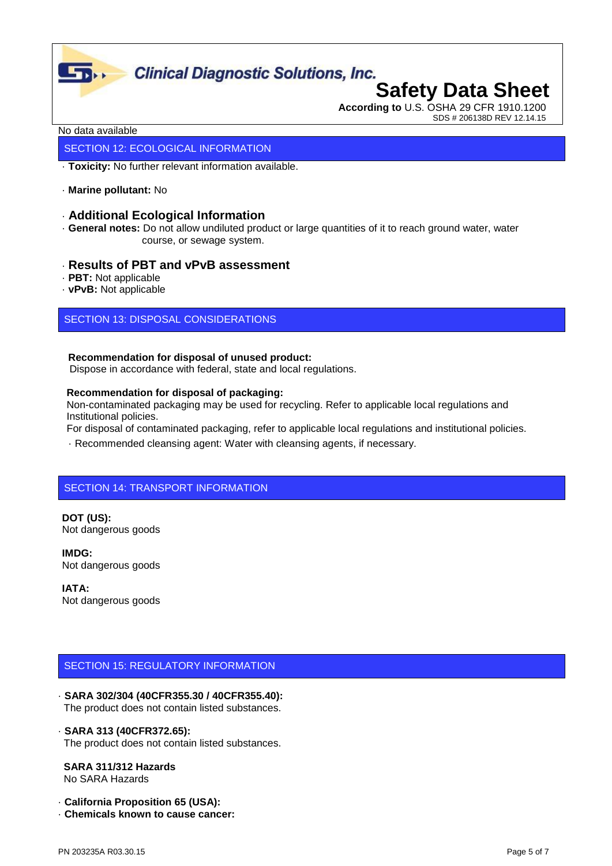

# **Clinical Diagnostic Solutions, Inc.**

# **Safety Data Sheet According to** U.S. OSHA 29 CFR 1910.1200

SDS # 206138D REV 12.14.15

### No data available

### SECTION 12: ECOLOGICAL INFORMATION

· **Toxicity:** No further relevant information available.

· **Marine pollutant:** No

### · **Additional Ecological Information**

· **General notes:** Do not allow undiluted product or large quantities of it to reach ground water, water course, or sewage system.

### · **Results of PBT and vPvB assessment**

- · **PBT:** Not applicable
- · **vPvB:** Not applicable

## SECTION 13: DISPOSAL CONSIDERATIONS

### **Recommendation for disposal of unused product:**

Dispose in accordance with federal, state and local regulations.

### **Recommendation for disposal of packaging:**

 Non-contaminated packaging may be used for recycling. Refer to applicable local regulations and Institutional policies.

For disposal of contaminated packaging, refer to applicable local regulations and institutional policies.

· Recommended cleansing agent: Water with cleansing agents, if necessary.

# SECTION 14: TRANSPORT INFORMATION

**DOT (US):** Not dangerous goods

**IMDG:** Not dangerous goods

**IATA:** Not dangerous goods

### SECTION 15: REGULATORY INFORMATION

· **SARA 302/304 (40CFR355.30 / 40CFR355.40):** The product does not contain listed substances.

### · **SARA 313 (40CFR372.65):**

The product does not contain listed substances.

### **SARA 311/312 Hazards**

No SARA Hazards

· **California Proposition 65 (USA):**

· **Chemicals known to cause cancer:**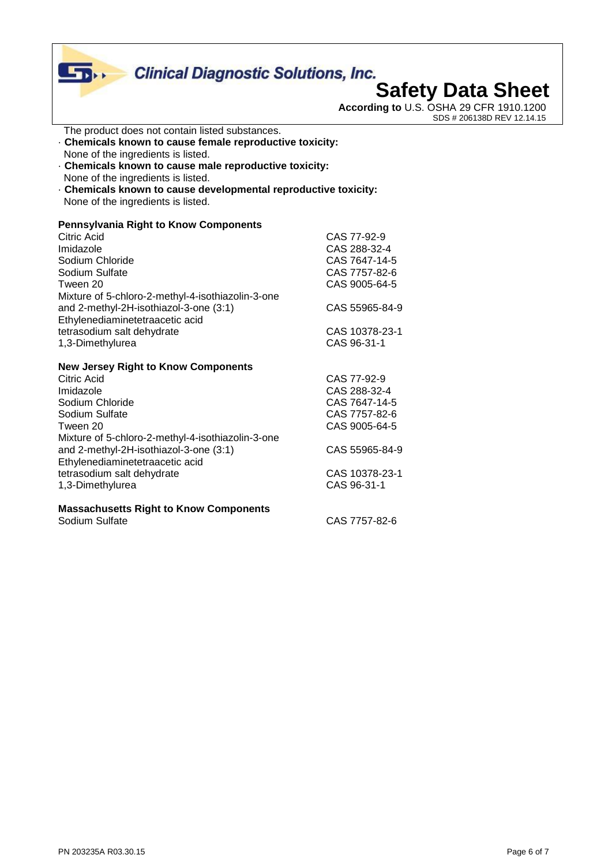# **Clinical Diagnostic Solutions, Inc.**<br>**Safety Data Sheet**  $\overline{\mathbf{D}}$ **According to** U.S. OSHA 29 CFR 1910.1200 SDS # 206138D REV 12.14.15

- The product does not contain listed substances.
- · **Chemicals known to cause female reproductive toxicity:** None of the ingredients is listed.
- · **Chemicals known to cause male reproductive toxicity:** None of the ingredients is listed.
- · **Chemicals known to cause developmental reproductive toxicity:** None of the ingredients is listed.

### **Pennsylvania Right to Know Components**

| Citric Acid                                       | CAS 77-92-9    |
|---------------------------------------------------|----------------|
| Imidazole                                         | CAS 288-32-4   |
| Sodium Chloride                                   | CAS 7647-14-5  |
| Sodium Sulfate                                    | CAS 7757-82-6  |
| Tween 20                                          | CAS 9005-64-5  |
| Mixture of 5-chloro-2-methyl-4-isothiazolin-3-one |                |
| and 2-methyl-2H-isothiazol-3-one (3:1)            | CAS 55965-84-9 |
| Ethylenediaminetetraacetic acid                   |                |
| tetrasodium salt dehydrate                        | CAS 10378-23-1 |
| 1,3-Dimethylurea                                  | CAS 96-31-1    |
| <b>New Jersey Right to Know Components</b>        |                |
| Citric Acid                                       | CAS 77-92-9    |
| Imidazole                                         | CAS 288-32-4   |
| Sodium Chloride                                   | CAS 7647-14-5  |
| Sodium Sulfate                                    | CAS 7757-82-6  |
| Tween 20                                          | CAS 9005-64-5  |
| Mixture of 5-chloro-2-methyl-4-isothiazolin-3-one |                |
| and 2-methyl-2H-isothiazol-3-one (3:1)            | CAS 55965-84-9 |
| Ethylenediaminetetraacetic acid                   |                |
| tetrasodium salt dehydrate                        | CAS 10378-23-1 |
| 1,3-Dimethylurea                                  | CAS 96-31-1    |
|                                                   |                |

### **Massachusetts Right to Know Components** CAS 7757-82-6